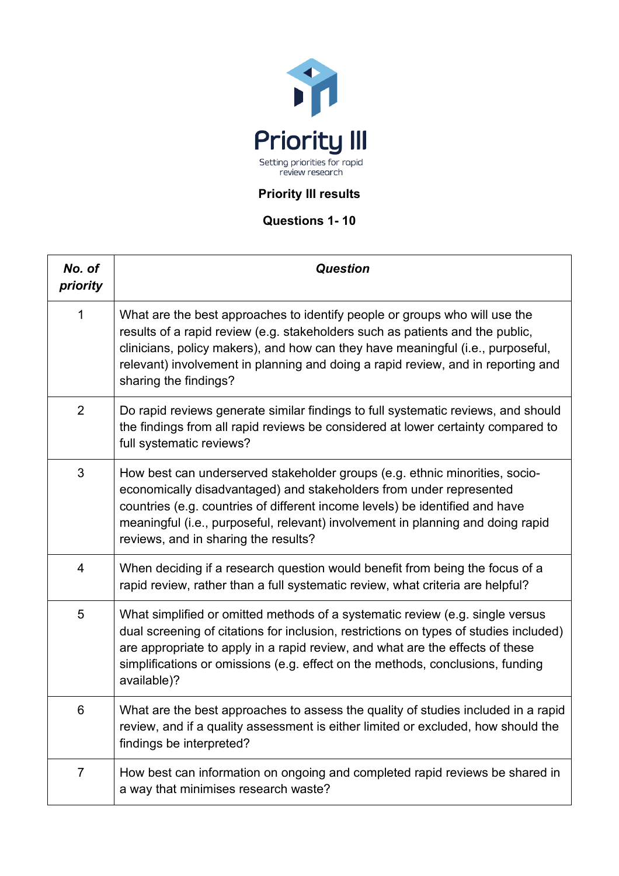

## **Priority III results**

## **Questions 1- 10**

| No. of<br>priority | <b>Question</b>                                                                                                                                                                                                                                                                                                                                               |
|--------------------|---------------------------------------------------------------------------------------------------------------------------------------------------------------------------------------------------------------------------------------------------------------------------------------------------------------------------------------------------------------|
| 1                  | What are the best approaches to identify people or groups who will use the<br>results of a rapid review (e.g. stakeholders such as patients and the public,<br>clinicians, policy makers), and how can they have meaningful (i.e., purposeful,<br>relevant) involvement in planning and doing a rapid review, and in reporting and<br>sharing the findings?   |
| $\overline{2}$     | Do rapid reviews generate similar findings to full systematic reviews, and should<br>the findings from all rapid reviews be considered at lower certainty compared to<br>full systematic reviews?                                                                                                                                                             |
| 3                  | How best can underserved stakeholder groups (e.g. ethnic minorities, socio-<br>economically disadvantaged) and stakeholders from under represented<br>countries (e.g. countries of different income levels) be identified and have<br>meaningful (i.e., purposeful, relevant) involvement in planning and doing rapid<br>reviews, and in sharing the results? |
| 4                  | When deciding if a research question would benefit from being the focus of a<br>rapid review, rather than a full systematic review, what criteria are helpful?                                                                                                                                                                                                |
| 5                  | What simplified or omitted methods of a systematic review (e.g. single versus<br>dual screening of citations for inclusion, restrictions on types of studies included)<br>are appropriate to apply in a rapid review, and what are the effects of these<br>simplifications or omissions (e.g. effect on the methods, conclusions, funding<br>available)?      |
| 6                  | What are the best approaches to assess the quality of studies included in a rapid<br>review, and if a quality assessment is either limited or excluded, how should the<br>findings be interpreted?                                                                                                                                                            |
| $\overline{7}$     | How best can information on ongoing and completed rapid reviews be shared in<br>a way that minimises research waste?                                                                                                                                                                                                                                          |